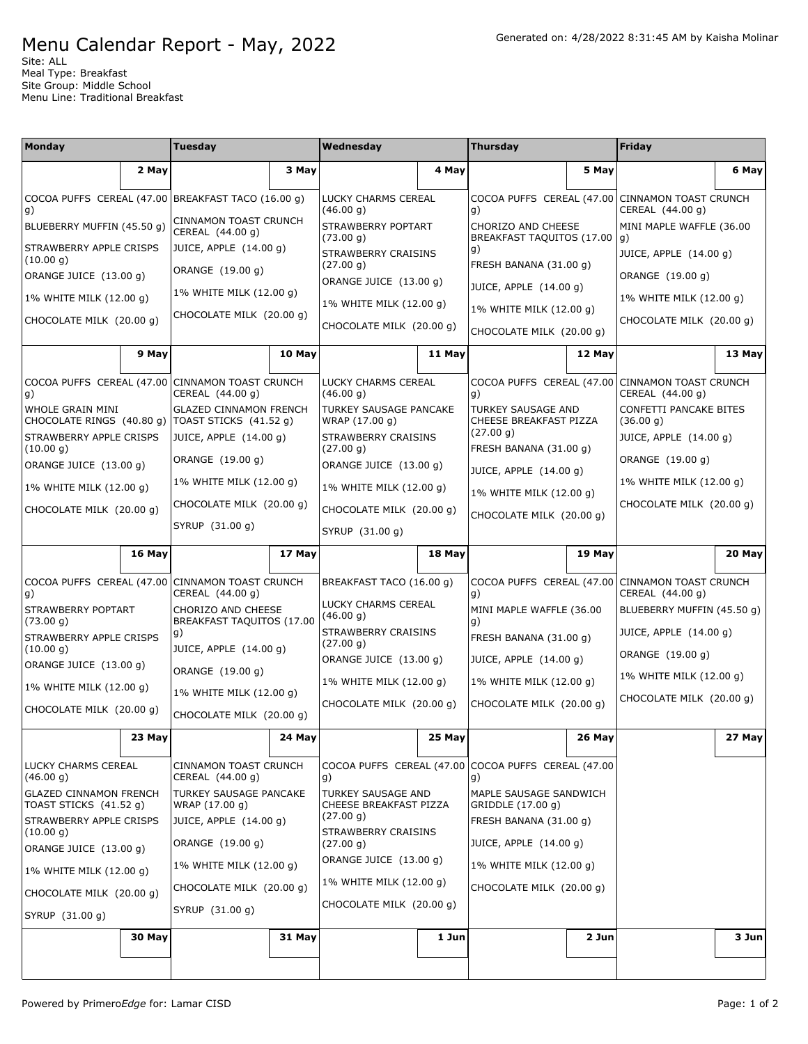## Menu Calendar Report - May, 2022

Site: ALL Meal Type: Breakfast Site Group: Middle School Menu Line: Traditional Breakfast

| <b>Monday</b>                                                          |        | Tuesday                                                             |        | Wednesday                                           |        | Thursday                                                                                                                                        |        | Friday                                           |        |
|------------------------------------------------------------------------|--------|---------------------------------------------------------------------|--------|-----------------------------------------------------|--------|-------------------------------------------------------------------------------------------------------------------------------------------------|--------|--------------------------------------------------|--------|
|                                                                        | 2 May  |                                                                     | 3 May  |                                                     | 4 May  |                                                                                                                                                 | 5 May  |                                                  | 6 May  |
| g)                                                                     |        | COCOA PUFFS CEREAL (47.00 BREAKFAST TACO (16.00 g)                  |        | LUCKY CHARMS CEREAL<br>(46.00 g)                    |        | COCOA PUFFS CEREAL (47.00<br>g)                                                                                                                 |        | CINNAMON TOAST CRUNCH<br>CEREAL (44.00 g)        |        |
| BLUEBERRY MUFFIN (45.50 g)                                             |        | CINNAMON TOAST CRUNCH<br>CEREAL (44.00 g)                           |        | STRAWBERRY POPTART<br>(73.00 g)                     |        | CHORIZO AND CHEESE<br>BREAKFAST TAQUITOS (17.00<br>g)<br>FRESH BANANA (31.00 g)<br>JUICE, APPLE (14.00 g)                                       |        | MINI MAPLE WAFFLE (36.00<br>g)                   |        |
| STRAWBERRY APPLE CRISPS<br>(10.00 g)                                   |        | JUICE, APPLE (14.00 g)                                              |        | STRAWBERRY CRAISINS                                 |        |                                                                                                                                                 |        | JUICE, APPLE (14.00 g)                           |        |
| ORANGE JUICE (13.00 g)                                                 |        | ORANGE (19.00 q)                                                    |        | (27.00 g)<br>ORANGE JUICE (13.00 g)                 |        |                                                                                                                                                 |        | ORANGE (19.00 q)                                 |        |
| 1% WHITE MILK (12.00 g)                                                |        | 1% WHITE MILK (12.00 g)                                             |        | 1% WHITE MILK (12.00 g)                             |        | 1% WHITE MILK (12.00 g)                                                                                                                         |        | 1% WHITE MILK (12.00 g)                          |        |
| CHOCOLATE MILK (20.00 g)                                               |        | CHOCOLATE MILK (20.00 g)                                            |        | CHOCOLATE MILK (20.00 g)                            |        | CHOCOLATE MILK (20.00 g)                                                                                                                        |        | CHOCOLATE MILK (20.00 g)                         |        |
|                                                                        | 9 May  |                                                                     | 10 May |                                                     | 11 May |                                                                                                                                                 | 12 May |                                                  | 13 May |
| g)                                                                     |        | COCOA PUFFS CEREAL (47.00 CINNAMON TOAST CRUNCH<br>CEREAL (44.00 g) |        | LUCKY CHARMS CEREAL<br>(46.00 g)                    |        | COCOA PUFFS CEREAL (47.00<br>g)                                                                                                                 |        | <b>CINNAMON TOAST CRUNCH</b><br>CEREAL (44.00 g) |        |
| WHOLE GRAIN MINI<br>CHOCOLATE RINGS (40.80 g)   TOAST STICKS (41.52 g) |        | <b>GLAZED CINNAMON FRENCH</b>                                       |        | TURKEY SAUSAGE PANCAKE<br>WRAP (17.00 g)            |        | <b>TURKEY SAUSAGE AND</b><br>CHEESE BREAKFAST PIZZA<br>(27.00 g)<br>FRESH BANANA (31.00 g)<br>JUICE, APPLE (14.00 g)<br>1% WHITE MILK (12.00 g) |        | CONFETTI PANCAKE BITES<br>(36.00 g)              |        |
| STRAWBERRY APPLE CRISPS<br>(10.00 g)                                   |        | JUICE, APPLE (14.00 g)                                              |        | STRAWBERRY CRAISINS<br>(27.00 g)                    |        |                                                                                                                                                 |        | JUICE, APPLE (14.00 g)                           |        |
| ORANGE JUICE (13.00 g)                                                 |        | ORANGE (19.00 g)                                                    |        | ORANGE JUICE (13.00 g)                              |        |                                                                                                                                                 |        | ORANGE (19.00 q)                                 |        |
| 1% WHITE MILK (12.00 g)                                                |        | 1% WHITE MILK (12.00 g)                                             |        | 1% WHITE MILK (12.00 g)                             |        |                                                                                                                                                 |        | 1% WHITE MILK (12.00 g)                          |        |
| CHOCOLATE MILK (20.00 g)                                               |        | CHOCOLATE MILK (20.00 g)                                            |        | CHOCOLATE MILK (20.00 g)                            |        | CHOCOLATE MILK (20.00 g)                                                                                                                        |        | CHOCOLATE MILK (20.00 g)                         |        |
|                                                                        |        | SYRUP (31.00 g)                                                     |        | SYRUP (31.00 g)                                     |        |                                                                                                                                                 |        |                                                  |        |
|                                                                        | 16 May |                                                                     | 17 May |                                                     | 18 May |                                                                                                                                                 | 19 May |                                                  | 20 May |
| COCOA PUFFS CEREAL (47.00 CINNAMON TOAST CRUNCH<br>g)                  |        | CEREAL (44.00 g)                                                    |        | BREAKFAST TACO (16.00 g)                            |        | COCOA PUFFS CEREAL (47.00<br>g)                                                                                                                 |        | CINNAMON TOAST CRUNCH<br>CEREAL (44.00 g)        |        |
| STRAWBERRY POPTART<br>(73.00 g)                                        |        | CHORIZO AND CHEESE<br>BREAKFAST TAQUITOS (17.00                     |        | LUCKY CHARMS CEREAL<br>(46.00 g)                    |        | MINI MAPLE WAFFLE (36.00<br>g)                                                                                                                  |        | BLUEBERRY MUFFIN (45.50 g)                       |        |
| STRAWBERRY APPLE CRISPS<br>(10.00 g)                                   |        | g)<br>JUICE, APPLE (14.00 g)                                        |        | STRAWBERRY CRAISINS<br>(27.00 g)                    |        | FRESH BANANA (31.00 g)                                                                                                                          |        | JUICE, APPLE (14.00 g)<br>ORANGE (19.00 g)       |        |
| ORANGE JUICE (13.00 g)                                                 |        | ORANGE (19.00 g)                                                    |        | ORANGE JUICE (13.00 g)                              |        | JUICE, APPLE (14.00 g)                                                                                                                          |        | 1% WHITE MILK (12.00 g)                          |        |
| 1% WHITE MILK (12.00 g)                                                |        | 1% WHITE MILK (12.00 g)                                             |        | 1% WHITE MILK (12.00 g)                             |        | 1% WHITE MILK (12.00 g)                                                                                                                         |        | CHOCOLATE MILK (20.00 g)                         |        |
| CHOCOLATE MILK (20.00 g)                                               |        | CHOCOLATE MILK (20.00 g)                                            |        | CHOCOLATE MILK (20.00 q)                            |        | CHOCOLATE MILK (20.00 g)                                                                                                                        |        |                                                  |        |
|                                                                        | 23 May |                                                                     | 24 May |                                                     | 25 May |                                                                                                                                                 | 26 May |                                                  | 27 May |
| <b>LUCKY CHARMS CEREAL</b><br>(46.00 g)                                |        | CINNAMON TOAST CRUNCH<br>CEREAL (44.00 g)                           |        | g)                                                  |        | COCOA PUFFS CEREAL (47.00 COCOA PUFFS CEREAL (47.00<br>g)                                                                                       |        |                                                  |        |
| <b>GLAZED CINNAMON FRENCH</b><br>TOAST STICKS (41.52 g)                |        | TURKEY SAUSAGE PANCAKE<br>WRAP (17.00 g)                            |        | <b>TURKEY SAUSAGE AND</b><br>CHEESE BREAKFAST PIZZA |        | MAPLE SAUSAGE SANDWICH<br>GRIDDLE (17.00 g)                                                                                                     |        |                                                  |        |
| STRAWBERRY APPLE CRISPS<br>(10.00 g)                                   |        | JUICE, APPLE (14.00 g)                                              |        | (27.00 g)<br>STRAWBERRY CRAISINS                    |        | FRESH BANANA (31.00 g)                                                                                                                          |        |                                                  |        |
| ORANGE JUICE (13.00 q)                                                 |        | ORANGE (19.00 g)                                                    |        | (27.00 g)                                           |        | JUICE, APPLE (14.00 g)                                                                                                                          |        |                                                  |        |
| 1% WHITE MILK (12.00 g)                                                |        | 1% WHITE MILK (12.00 g)                                             |        | ORANGE JUICE (13.00 g)<br>1% WHITE MILK (12.00 g)   |        | 1% WHITE MILK (12.00 g)                                                                                                                         |        |                                                  |        |
| CHOCOLATE MILK (20.00 g)                                               |        | CHOCOLATE MILK (20.00 g)                                            |        | CHOCOLATE MILK (20.00 g)                            |        | CHOCOLATE MILK (20.00 g)                                                                                                                        |        |                                                  |        |
| SYRUP (31.00 g)                                                        |        | SYRUP (31.00 g)                                                     |        |                                                     |        |                                                                                                                                                 |        |                                                  |        |
|                                                                        | 30 May |                                                                     | 31 May |                                                     | 1 Jun  |                                                                                                                                                 | 2 Jun  |                                                  | 3 Jun  |
|                                                                        |        |                                                                     |        |                                                     |        |                                                                                                                                                 |        |                                                  |        |
|                                                                        |        |                                                                     |        |                                                     |        |                                                                                                                                                 |        |                                                  |        |